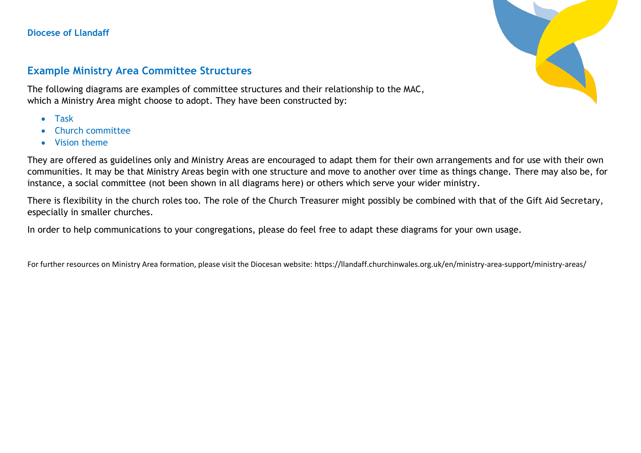**Diocese of Llandaff**

## **Example Ministry Area Committee Structures**

The following diagrams are examples of committee structures and their relationship to the MAC, which a Ministry Area might choose to adopt. They have been constructed by:

- Task
- Church committee
- Vision theme



They are offered as guidelines only and Ministry Areas are encouraged to adapt them for their own arrangements and for use with their own communities. It may be that Ministry Areas begin with one structure and move to another over time as things change. There may also be, for instance, a social committee (not been shown in all diagrams here) or others which serve your wider ministry.

There is flexibility in the church roles too. The role of the Church Treasurer might possibly be combined with that of the Gift Aid Secretary, especially in smaller churches.

In order to help communications to your congregations, please do feel free to adapt these diagrams for your own usage.

For further resources on Ministry Area formation, please visit the Diocesan website: https://llandaff.churchinwales.org.uk/en/ministry-area-support/ministry-areas/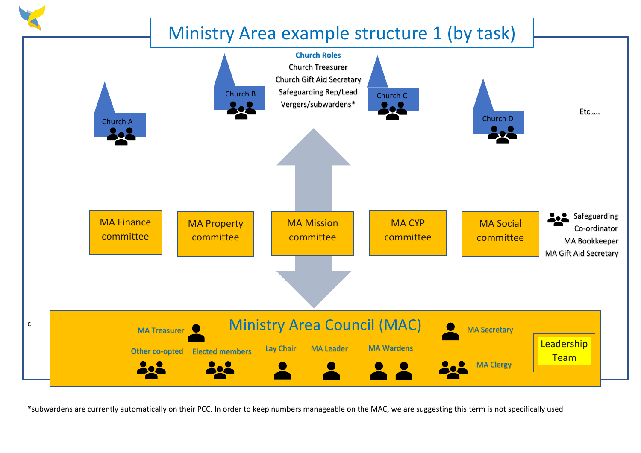

\*subwardens are currently automatically on their PCC. In order to keep numbers manageable on the MAC, we are suggesting this term is not specifically used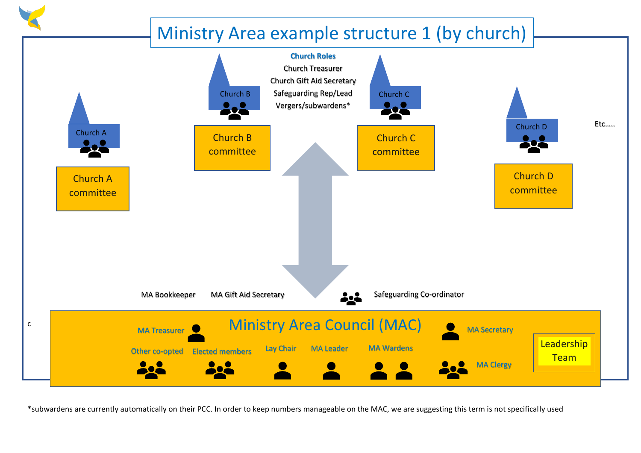

\*subwardens are currently automatically on their PCC. In order to keep numbers manageable on the MAC, we are suggesting this term is not specifically used